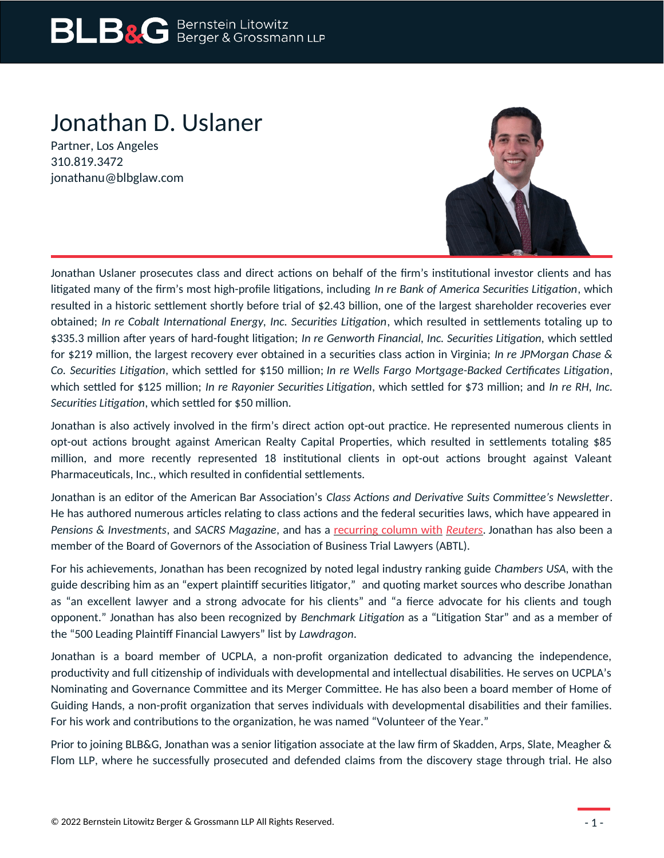# Jonathan D. Uslaner

Partner, Los Angeles 310.819.3472 jonathanu@blbglaw.com



Jonathan Uslaner prosecutes class and direct actions on behalf of the firm's institutional investor clients and has litigated many of the firm's most high-profile litigations, including *In re Bank of America Securities Litigation*, which resulted in a historic settlement shortly before trial of \$2.43 billion, one of the largest shareholder recoveries ever obtained; *In re Cobalt International Energy, Inc. Securities Litigation*, which resulted in settlements totaling up to \$335.3 million after years of hard-fought litigation; *In re Genworth Financial, Inc. Securities Litigation,* which settled for \$219 million, the largest recovery ever obtained in a securities class action in Virginia; *In re JPMorgan Chase & Co. Securities Litigation*, which settled for \$150 million; *In re Wells Fargo Mortgage-Backed Certificates Litigation*, which settled for \$125 million; *In re Rayonier Securities Litigation*, which settled for \$73 million; and *In re RH, Inc. Securities Litigation*, which settled for \$50 million.

Jonathan is also actively involved in the firm's direct action opt-out practice. He represented numerous clients in opt-out actions brought against American Realty Capital Properties, which resulted in settlements totaling \$85 million, and more recently represented 18 institutional clients in opt-out actions brought against Valeant Pharmaceuticals, Inc., which resulted in confidential settlements.

Jonathan is an editor of the American Bar Association's *Class Actions and Derivative Suits Committee's Newsletter*. He has authored numerous articles relating to class actions and the federal securities laws, which have appeared in *Pensions & Investments*, and *SACRS Magazine*, and has a [recurring column with](https://www.reuters.com/authors/jonathan-d-uslaner/) *[Reuters](https://www.reuters.com/authors/jonathan-d-uslaner/)*. Jonathan has also been a member of the Board of Governors of the Association of Business Trial Lawyers (ABTL).

For his achievements, Jonathan has been recognized by noted legal industry ranking guide *Chambers USA,* with the guide describing him as an "expert plaintiff securities litigator," and quoting market sources who describe Jonathan as "an excellent lawyer and a strong advocate for his clients" and "a fierce advocate for his clients and tough opponent." Jonathan has also been recognized by *Benchmark Litigation* as a "Litigation Star" and as a member of the "500 Leading Plaintiff Financial Lawyers" list by *Lawdragon*.

Jonathan is a board member of UCPLA, a non-profit organization dedicated to advancing the independence, productivity and full citizenship of individuals with developmental and intellectual disabilities. He serves on UCPLA's Nominating and Governance Committee and its Merger Committee. He has also been a board member of Home of Guiding Hands, a non-profit organization that serves individuals with developmental disabilities and their families. For his work and contributions to the organization, he was named "Volunteer of the Year."

Prior to joining BLB&G, Jonathan was a senior litigation associate at the law firm of Skadden, Arps, Slate, Meagher & Flom LLP, where he successfully prosecuted and defended claims from the discovery stage through trial. He also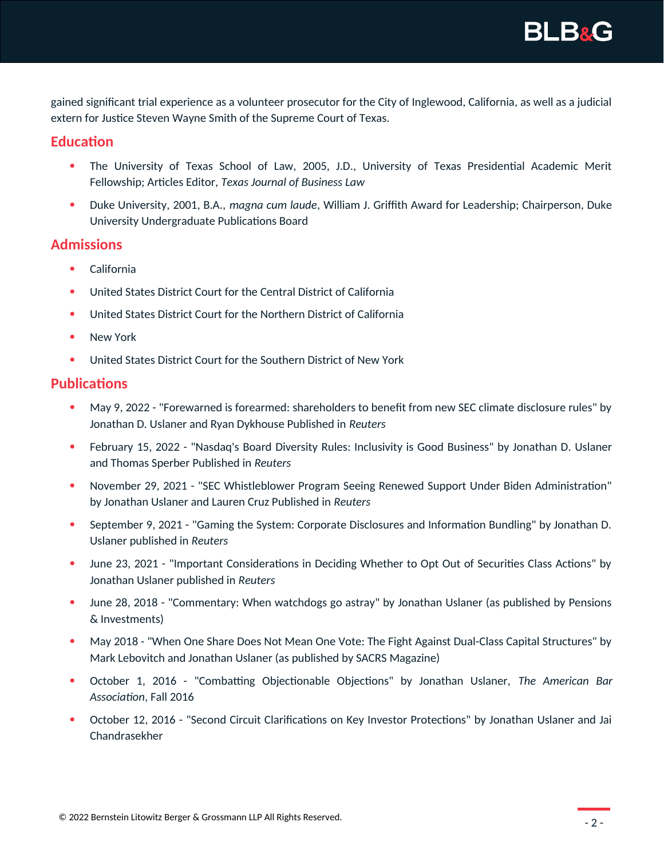

gained significant trial experience as a volunteer prosecutor for the City of Inglewood, California, as well as a judicial extern for Justice Steven Wayne Smith of the Supreme Court of Texas.

## **Education**

- The University of Texas School of Law, 2005, J.D., University of Texas Presidential Academic Merit Fellowship; Articles Editor, *Texas Journal of Business Law*
- Duke University, 2001, B.A., *magna cum laude*, William J. Griffith Award for Leadership; Chairperson, Duke University Undergraduate Publications Board

## **Admissions**

- California
- United States District Court for the Central District of California
- United States District Court for the Northern District of California
- New York
- United States District Court for the Southern District of New York

## **Publications**

- May 9, 2022 "Forewarned is forearmed: shareholders to benefit from new SEC climate disclosure rules" by Jonathan D. Uslaner and Ryan Dykhouse Published in *Reuters*
- February 15, 2022 "Nasdaq's Board Diversity Rules: Inclusivity is Good Business" by Jonathan D. Uslaner and Thomas Sperber Published in *Reuters*
- November 29, 2021 "SEC Whistleblower Program Seeing Renewed Support Under Biden Administration" by Jonathan Uslaner and Lauren Cruz Published in *Reuters*
- September 9, 2021 "Gaming the System: Corporate Disclosures and Information Bundling" by Jonathan D. Uslaner published in *Reuters*
- June 23, 2021 "Important Considerations in Deciding Whether to Opt Out of Securities Class Actions" by Jonathan Uslaner published in *Reuters*
- June 28, 2018 "Commentary: When watchdogs go astray" by Jonathan Uslaner (as published by Pensions & Investments)
- May 2018 "When One Share Does Not Mean One Vote: The Fight Against Dual-Class Capital Structures" by Mark Lebovitch and Jonathan Uslaner (as published by SACRS Magazine)
- October 1, 2016 "Combatting Objectionable Objections" by Jonathan Uslaner, *The American Bar Association*, Fall 2016
- October 12, 2016 "Second Circuit Clarifications on Key Investor Protections" by Jonathan Uslaner and Jai Chandrasekher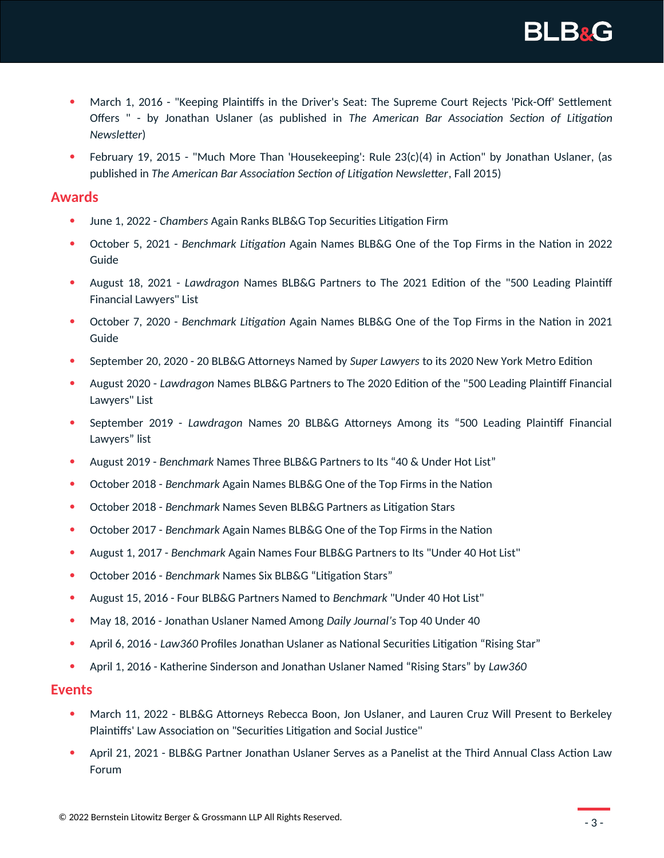

- March 1, 2016 "Keeping Plaintiffs in the Driver's Seat: The Supreme Court Rejects 'Pick-Off' Settlement Offers " - by Jonathan Uslaner (as published in *The American Bar Association Section of Litigation Newsletter*)
- February 19, 2015 "Much More Than 'Housekeeping': Rule 23(c)(4) in Action" by Jonathan Uslaner, (as published in *The American Bar Association Section of Litigation Newsletter*, Fall 2015)

#### **Awards**

- June 1, 2022 *Chambers* Again Ranks BLB&G Top Securities Litigation Firm
- October 5, 2021 *Benchmark Litigation* Again Names BLB&G One of the Top Firms in the Nation in 2022 Guide
- August 18, 2021 *Lawdragon* Names BLB&G Partners to The 2021 Edition of the "500 Leading Plaintiff Financial Lawyers" List
- October 7, 2020 *Benchmark Litigation* Again Names BLB&G One of the Top Firms in the Nation in 2021 Guide
- September 20, 2020 20 BLB&G Attorneys Named by *Super Lawyers* to its 2020 New York Metro Edition
- August 2020 *Lawdragon* Names BLB&G Partners to The 2020 Edition of the "500 Leading Plaintiff Financial Lawyers" List
- September 2019 *Lawdragon* Names 20 BLB&G Attorneys Among its "500 Leading Plaintiff Financial Lawyers" list
- August 2019 *Benchmark* Names Three BLB&G Partners to Its "40 & Under Hot List"
- October 2018 *Benchmark* Again Names BLB&G One of the Top Firms in the Nation
- October 2018 *Benchmark* Names Seven BLB&G Partners as Litigation Stars
- October 2017 *Benchmark* Again Names BLB&G One of the Top Firms in the Nation
- August 1, 2017 *Benchmark* Again Names Four BLB&G Partners to Its "Under 40 Hot List"
- October 2016 *Benchmark* Names Six BLB&G "Litigation Stars"
- August 15, 2016 Four BLB&G Partners Named to *Benchmark* "Under 40 Hot List"
- May 18, 2016 Jonathan Uslaner Named Among *Daily Journal's* Top 40 Under 40
- April 6, 2016 *Law360* Profiles Jonathan Uslaner as National Securities Litigation "Rising Star"
- April 1, 2016 Katherine Sinderson and Jonathan Uslaner Named "Rising Stars" by *Law360*

#### **Events**

- March 11, 2022 BLB&G Attorneys Rebecca Boon, Jon Uslaner, and Lauren Cruz Will Present to Berkeley Plaintiffs' Law Association on "Securities Litigation and Social Justice"
- April 21, 2021 BLB&G Partner Jonathan Uslaner Serves as a Panelist at the Third Annual Class Action Law Forum